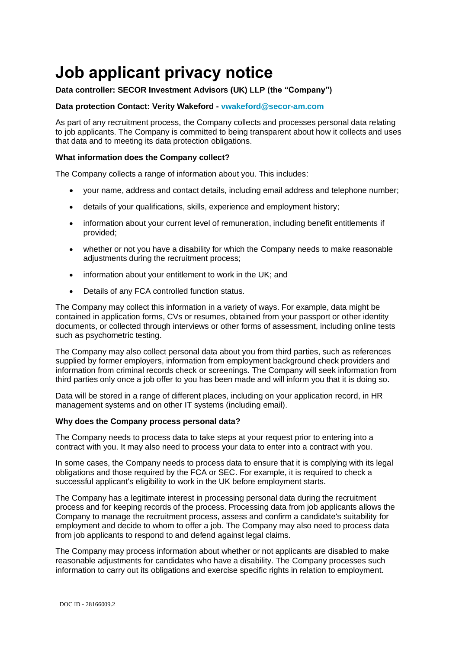# **Job applicant privacy notice**

## **Data controller: SECOR Investment Advisors (UK) LLP (the "Company")**

### **Data protection Contact: Verity Wakeford - [vwakeford@secor-am.com](mailto:vwakeford@secor-am.com)**

As part of any recruitment process, the Company collects and processes personal data relating to job applicants. The Company is committed to being transparent about how it collects and uses that data and to meeting its data protection obligations.

#### **What information does the Company collect?**

The Company collects a range of information about you. This includes:

- your name, address and contact details, including email address and telephone number;
- details of your qualifications, skills, experience and employment history;
- information about your current level of remuneration, including benefit entitlements if provided;
- whether or not you have a disability for which the Company needs to make reasonable adjustments during the recruitment process;
- information about your entitlement to work in the UK; and
- Details of any FCA controlled function status.

The Company may collect this information in a variety of ways. For example, data might be contained in application forms, CVs or resumes, obtained from your passport or other identity documents, or collected through interviews or other forms of assessment, including online tests such as psychometric testing.

The Company may also collect personal data about you from third parties, such as references supplied by former employers, information from employment background check providers and information from criminal records check or screenings. The Company will seek information from third parties only once a job offer to you has been made and will inform you that it is doing so.

Data will be stored in a range of different places, including on your application record, in HR management systems and on other IT systems (including email).

#### **Why does the Company process personal data?**

The Company needs to process data to take steps at your request prior to entering into a contract with you. It may also need to process your data to enter into a contract with you.

In some cases, the Company needs to process data to ensure that it is complying with its legal obligations and those required by the FCA or SEC. For example, it is required to check a successful applicant's eligibility to work in the UK before employment starts.

The Company has a legitimate interest in processing personal data during the recruitment process and for keeping records of the process. Processing data from job applicants allows the Company to manage the recruitment process, assess and confirm a candidate's suitability for employment and decide to whom to offer a job. The Company may also need to process data from job applicants to respond to and defend against legal claims.

The Company may process information about whether or not applicants are disabled to make reasonable adjustments for candidates who have a disability. The Company processes such information to carry out its obligations and exercise specific rights in relation to employment.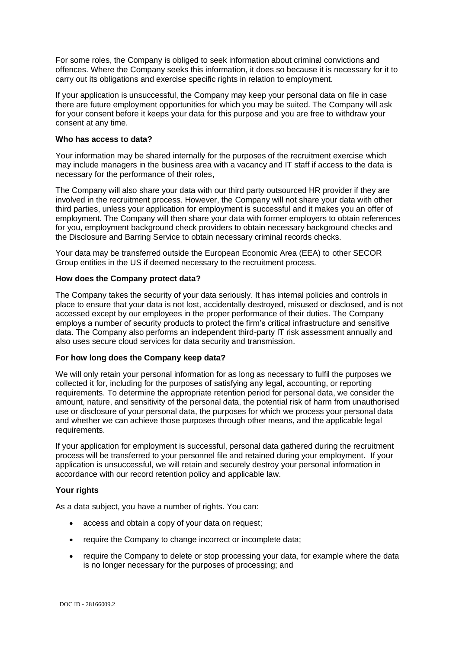For some roles, the Company is obliged to seek information about criminal convictions and offences. Where the Company seeks this information, it does so because it is necessary for it to carry out its obligations and exercise specific rights in relation to employment.

If your application is unsuccessful, the Company may keep your personal data on file in case there are future employment opportunities for which you may be suited. The Company will ask for your consent before it keeps your data for this purpose and you are free to withdraw your consent at any time.

#### **Who has access to data?**

Your information may be shared internally for the purposes of the recruitment exercise which may include managers in the business area with a vacancy and IT staff if access to the data is necessary for the performance of their roles,

The Company will also share your data with our third party outsourced HR provider if they are involved in the recruitment process. However, the Company will not share your data with other third parties, unless your application for employment is successful and it makes you an offer of employment. The Company will then share your data with former employers to obtain references for you, employment background check providers to obtain necessary background checks and the Disclosure and Barring Service to obtain necessary criminal records checks.

Your data may be transferred outside the European Economic Area (EEA) to other SECOR Group entities in the US if deemed necessary to the recruitment process.

#### **How does the Company protect data?**

The Company takes the security of your data seriously. It has internal policies and controls in place to ensure that your data is not lost, accidentally destroyed, misused or disclosed, and is not accessed except by our employees in the proper performance of their duties. The Company employs a number of security products to protect the firm's critical infrastructure and sensitive data. The Company also performs an independent third-party IT risk assessment annually and also uses secure cloud services for data security and transmission.

#### **For how long does the Company keep data?**

We will only retain your personal information for as long as necessary to fulfil the purposes we collected it for, including for the purposes of satisfying any legal, accounting, or reporting requirements. To determine the appropriate retention period for personal data, we consider the amount, nature, and sensitivity of the personal data, the potential risk of harm from unauthorised use or disclosure of your personal data, the purposes for which we process your personal data and whether we can achieve those purposes through other means, and the applicable legal requirements.

If your application for employment is successful, personal data gathered during the recruitment process will be transferred to your personnel file and retained during your employment. If your application is unsuccessful, we will retain and securely destroy your personal information in accordance with our record retention policy and applicable law.

#### **Your rights**

As a data subject, you have a number of rights. You can:

- access and obtain a copy of your data on request;
- require the Company to change incorrect or incomplete data;
- require the Company to delete or stop processing your data, for example where the data is no longer necessary for the purposes of processing; and